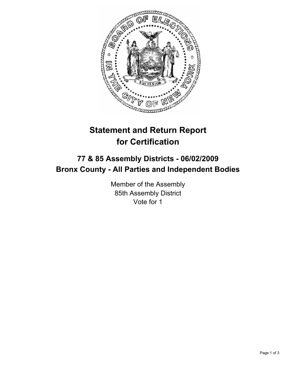

# **Statement and Return Report for Certification**

# **77 & 85 Assembly Districts - 06/02/2009 Bronx County - All Parties and Independent Bodies**

Member of the Assembly 85th Assembly District Vote for 1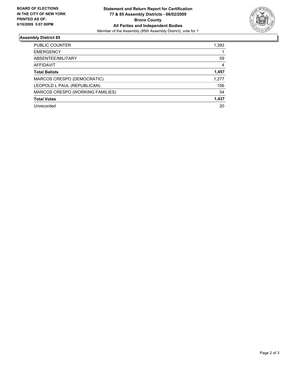

## **Assembly District 85**

| <b>PUBLIC COUNTER</b>            | 1,393 |
|----------------------------------|-------|
| <b>EMERGENCY</b>                 |       |
| ABSENTEE/MILITARY                | 59    |
| <b>AFFIDAVIT</b>                 | 4     |
| <b>Total Ballots</b>             | 1,457 |
| MARCOS CRESPO (DEMOCRATIC)       | 1.277 |
| LEOPOLD L PAUL (REPUBLICAN)      | 106   |
| MARCOS CRESPO (WORKING FAMILIES) | 54    |
| <b>Total Votes</b>               | 1,437 |
| Unrecorded                       | 20    |